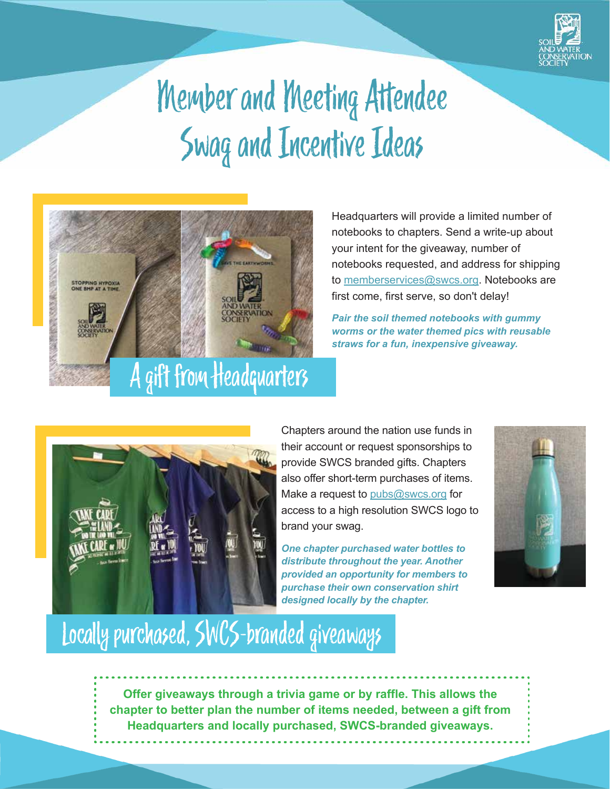

## Member and Meeting Attendee Swag and Incentive Ideas



Headquarters will provide a limited number of notebooks to chapters. Send a write-up about your intent for the giveaway, number of notebooks requested, and address for shipping to memberservices@swcs.org. Notebooks are first come, first serve, so don't delay!

*Pair the soil themed notebooks with gummy worms or the water themed pics with reusable straws for a fun, inexpensive giveaway.*



Chapters around the nation use funds in their account or request sponsorships to provide SWCS branded gifts. Chapters also offer short-term purchases of items. Make a request to pubs@swcs.org for access to a high resolution SWCS logo to brand your swag.

*One chapter purchased water bottles to distribute throughout the year. Another provided an opportunity for members to purchase their own conservation shirt designed locally by the chapter.*



## Locally purchased, SWCS-branded giveaways

**Offer giveaways through a trivia game or by raffle. This allows the chapter to better plan the number of items needed, between a gift from Headquarters and locally purchased, SWCS-branded giveaways.**